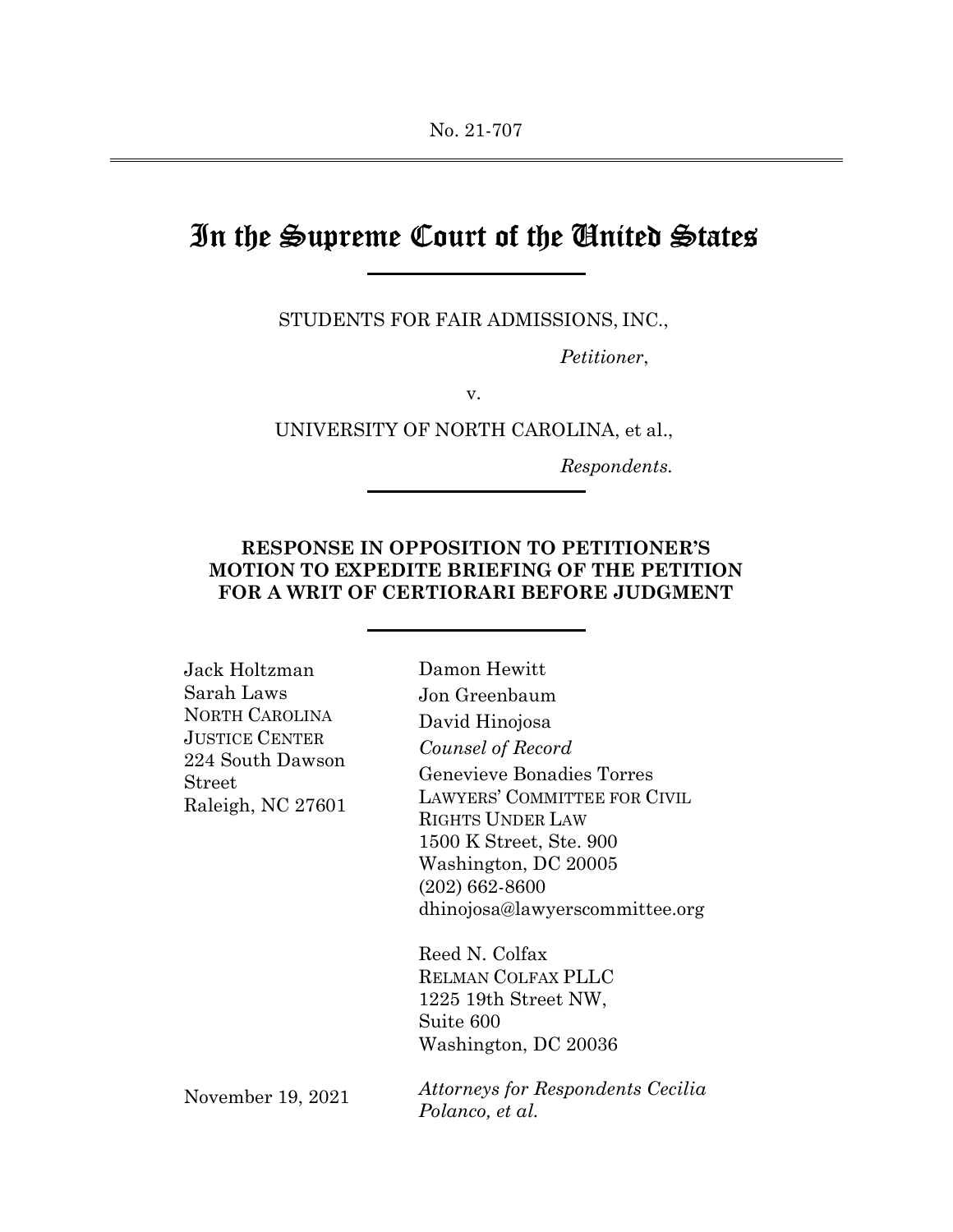# In the Supreme Court of the United States

STUDENTS FOR FAIR ADMISSIONS, INC.,

Petitioner,

v.

UNIVERSITY OF NORTH CAROLINA, et al.,

Respondents.

## RESPONSE IN OPPOSITION TO PETITIONER'S MOTION TO EXPEDITE BRIEFING OF THE PETITION FOR A WRIT OF CERTIORARI BEFORE JUDGMENT

| Jack Holtzman                                                                                     | Damon Hewitt                                                |
|---------------------------------------------------------------------------------------------------|-------------------------------------------------------------|
| Sarah Laws                                                                                        | Jon Greenbaum                                               |
| <b>NORTH CAROLINA</b><br><b>JUSTICE CENTER</b><br>224 South Dawson<br>Street<br>Raleigh, NC 27601 | David Hinojosa                                              |
|                                                                                                   | Counsel of Record                                           |
|                                                                                                   | Genevieve Bonadies Torres                                   |
|                                                                                                   | LAWYERS' COMMITTEE FOR CIVIL                                |
|                                                                                                   | <b>RIGHTS UNDER LAW</b>                                     |
|                                                                                                   | 1500 K Street, Ste. 900                                     |
|                                                                                                   | Washington, DC 20005                                        |
|                                                                                                   | $(202)$ 662-8600                                            |
|                                                                                                   | dhinojosa@lawyerscommittee.org                              |
|                                                                                                   | Reed N. Colfax                                              |
|                                                                                                   | <b>RELMAN COLFAX PLLC</b>                                   |
|                                                                                                   | 1225 19th Street NW,                                        |
|                                                                                                   | Suite 600                                                   |
|                                                                                                   | Washington, DC 20036                                        |
| November 19, 2021                                                                                 | <i>Attorneys for Respondents Cecilia</i><br>Polanco, et al. |
|                                                                                                   |                                                             |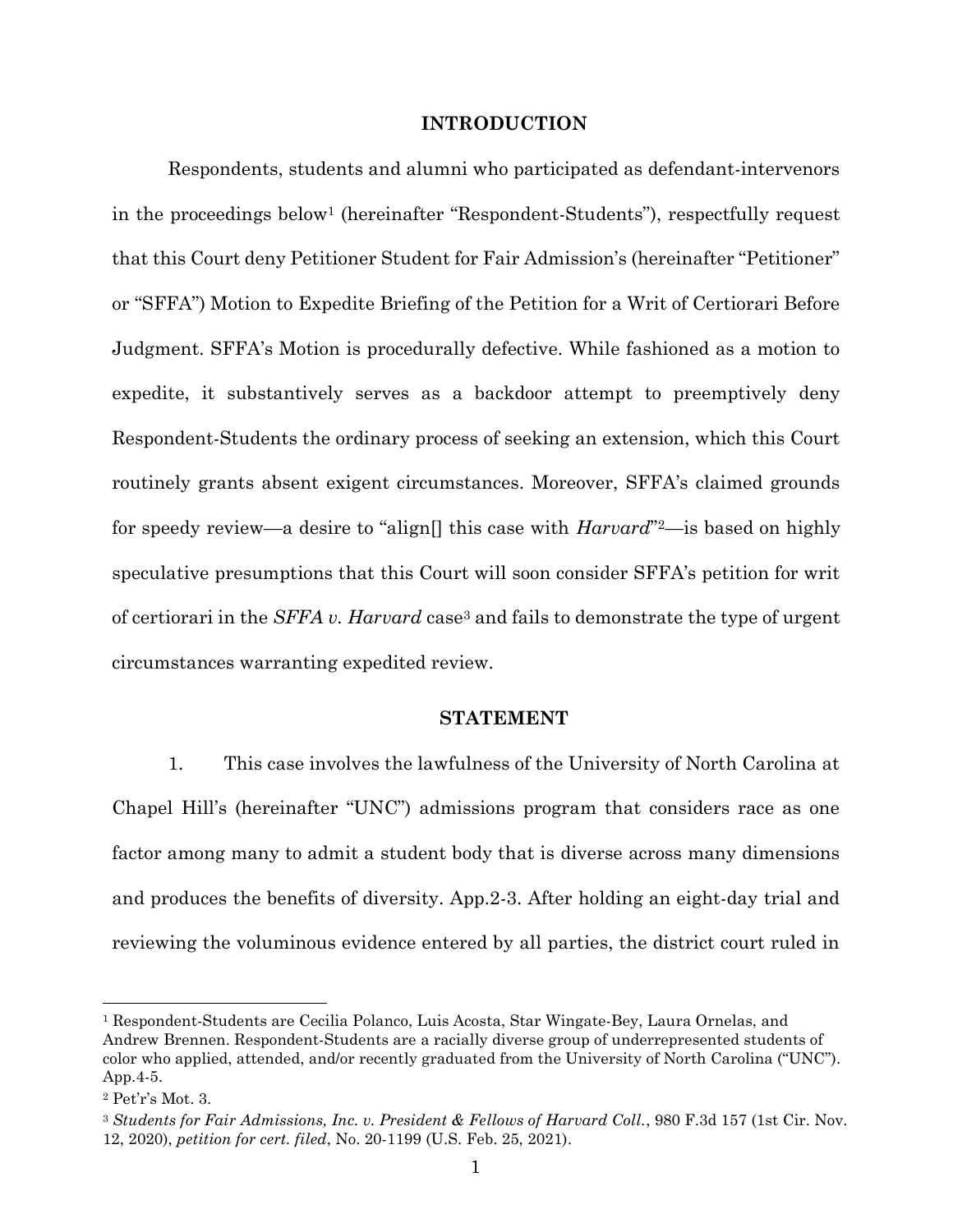#### INTRODUCTION

Respondents, students and alumni who participated as defendant-intervenors in the proceedings below1 (hereinafter "Respondent-Students"), respectfully request that this Court deny Petitioner Student for Fair Admission's (hereinafter "Petitioner" or "SFFA") Motion to Expedite Briefing of the Petition for a Writ of Certiorari Before Judgment. SFFA's Motion is procedurally defective. While fashioned as a motion to expedite, it substantively serves as a backdoor attempt to preemptively deny Respondent-Students the ordinary process of seeking an extension, which this Court routinely grants absent exigent circumstances. Moreover, SFFA's claimed grounds for speedy review—a desire to "align<sup>[]</sup> this case with  $Harvard$ "<sup>2</sup>—is based on highly speculative presumptions that this Court will soon consider SFFA's petition for writ of certiorari in the SFFA v. Harvard case3 and fails to demonstrate the type of urgent circumstances warranting expedited review.

## STATEMENT

1. This case involves the lawfulness of the University of North Carolina at Chapel Hill's (hereinafter "UNC") admissions program that considers race as one factor among many to admit a student body that is diverse across many dimensions and produces the benefits of diversity. App.2-3. After holding an eight-day trial and reviewing the voluminous evidence entered by all parties, the district court ruled in

<sup>1</sup> Respondent-Students are Cecilia Polanco, Luis Acosta, Star Wingate-Bey, Laura Ornelas, and Andrew Brennen. Respondent-Students are a racially diverse group of underrepresented students of color who applied, attended, and/or recently graduated from the University of North Carolina ("UNC"). App.4-5.

<sup>2</sup> Pet'r's Mot. 3.

<sup>3</sup> Students for Fair Admissions, Inc. v. President & Fellows of Harvard Coll., 980 F.3d 157 (1st Cir. Nov. 12, 2020), petition for cert. filed, No. 20-1199 (U.S. Feb. 25, 2021).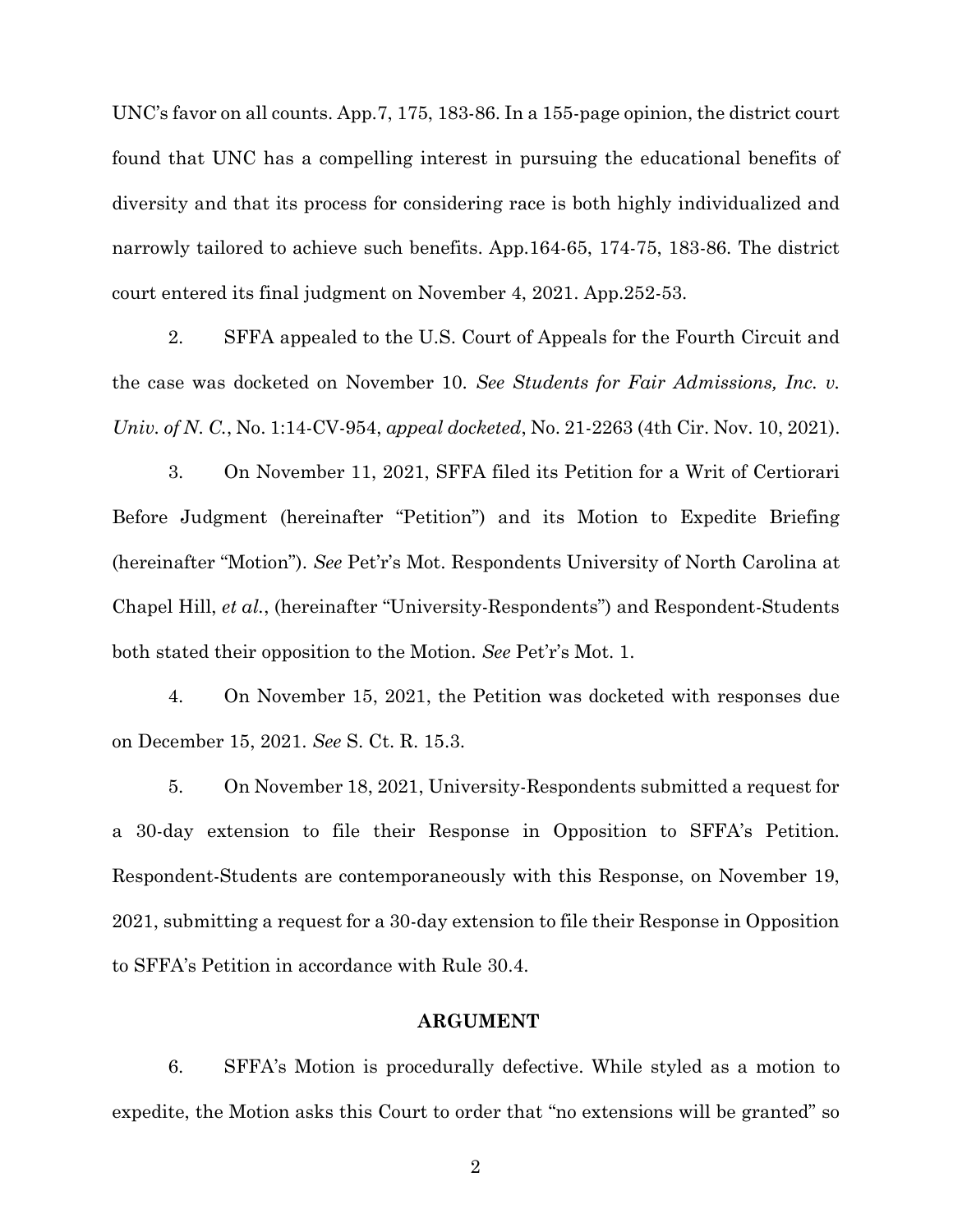UNC's favor on all counts. App.7, 175, 183-86. In a 155-page opinion, the district court found that UNC has a compelling interest in pursuing the educational benefits of diversity and that its process for considering race is both highly individualized and narrowly tailored to achieve such benefits. App.164-65, 174-75, 183-86. The district court entered its final judgment on November 4, 2021. App.252-53.

2. SFFA appealed to the U.S. Court of Appeals for the Fourth Circuit and the case was docketed on November 10. See Students for Fair Admissions, Inc. v. Univ. of N. C., No. 1:14-CV-954, appeal docketed, No. 21-2263 (4th Cir. Nov. 10, 2021).

3. On November 11, 2021, SFFA filed its Petition for a Writ of Certiorari Before Judgment (hereinafter "Petition") and its Motion to Expedite Briefing (hereinafter "Motion"). See Pet'r's Mot. Respondents University of North Carolina at Chapel Hill, et al., (hereinafter "University-Respondents") and Respondent-Students both stated their opposition to the Motion. See Pet'r's Mot. 1.

4. On November 15, 2021, the Petition was docketed with responses due on December 15, 2021. See S. Ct. R. 15.3.

5. On November 18, 2021, University-Respondents submitted a request for a 30-day extension to file their Response in Opposition to SFFA's Petition. Respondent-Students are contemporaneously with this Response, on November 19, 2021, submitting a request for a 30-day extension to file their Response in Opposition to SFFA's Petition in accordance with Rule 30.4.

### ARGUMENT

6. SFFA's Motion is procedurally defective. While styled as a motion to expedite, the Motion asks this Court to order that "no extensions will be granted" so

2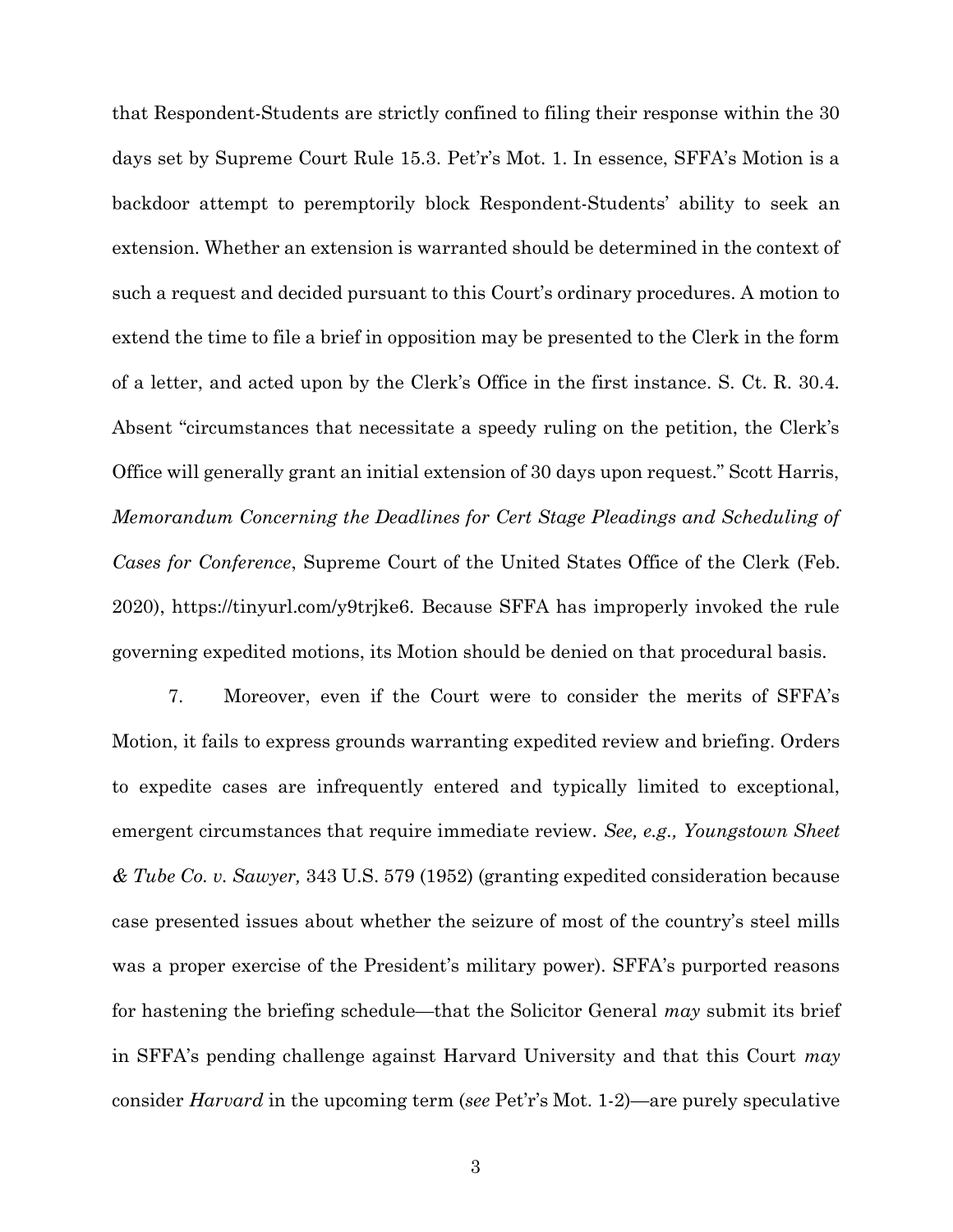that Respondent-Students are strictly confined to filing their response within the 30 days set by Supreme Court Rule 15.3. Pet'r's Mot. 1. In essence, SFFA's Motion is a backdoor attempt to peremptorily block Respondent-Students' ability to seek an extension. Whether an extension is warranted should be determined in the context of such a request and decided pursuant to this Court's ordinary procedures. A motion to extend the time to file a brief in opposition may be presented to the Clerk in the form of a letter, and acted upon by the Clerk's Office in the first instance. S. Ct. R. 30.4. Absent "circumstances that necessitate a speedy ruling on the petition, the Clerk's Office will generally grant an initial extension of 30 days upon request." Scott Harris, Memorandum Concerning the Deadlines for Cert Stage Pleadings and Scheduling of Cases for Conference, Supreme Court of the United States Office of the Clerk (Feb. 2020), https://tinyurl.com/y9trjke6. Because SFFA has improperly invoked the rule governing expedited motions, its Motion should be denied on that procedural basis.

7. Moreover, even if the Court were to consider the merits of SFFA's Motion, it fails to express grounds warranting expedited review and briefing. Orders to expedite cases are infrequently entered and typically limited to exceptional, emergent circumstances that require immediate review. See, e.g., Youngstown Sheet  $&$  Tube Co. v. Sawyer, 343 U.S. 579 (1952) (granting expedited consideration because case presented issues about whether the seizure of most of the country's steel mills was a proper exercise of the President's military power). SFFA's purported reasons for hastening the briefing schedule—that the Solicitor General  $may$  submit its brief in SFFA's pending challenge against Harvard University and that this Court  $may$ consider Harvard in the upcoming term (see Pet'r's Mot. 1-2)—are purely speculative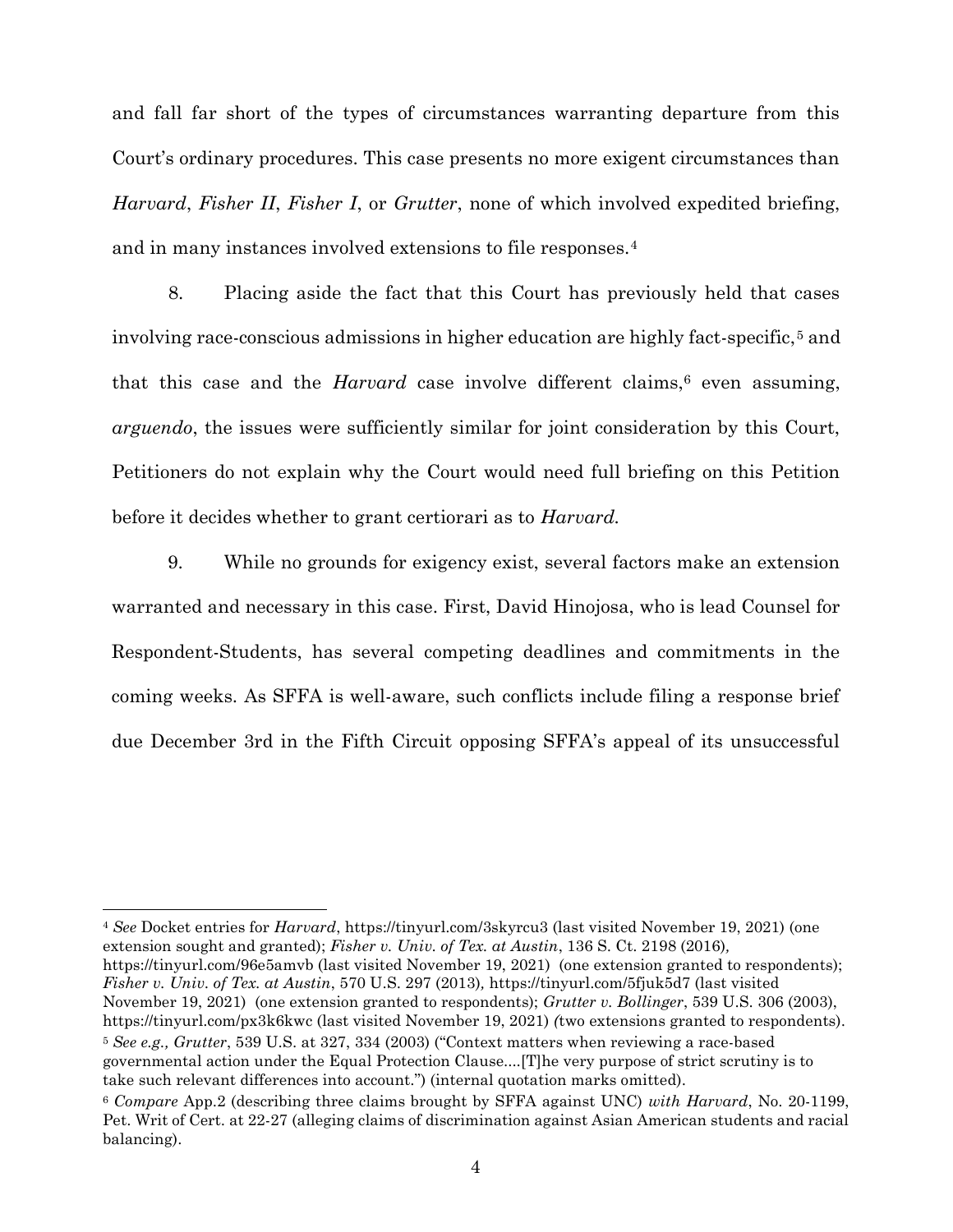and fall far short of the types of circumstances warranting departure from this Court's ordinary procedures. This case presents no more exigent circumstances than Harvard, Fisher II, Fisher I, or Grutter, none of which involved expedited briefing, and in many instances involved extensions to file responses.<sup>4</sup>

8. Placing aside the fact that this Court has previously held that cases involving race-conscious admissions in higher education are highly fact-specific,<sup>5</sup> and that this case and the *Harvard* case involve different claims,<sup> $6$ </sup> even assuming, arguendo, the issues were sufficiently similar for joint consideration by this Court, Petitioners do not explain why the Court would need full briefing on this Petition before it decides whether to grant certiorari as to *Harvard*.

9. While no grounds for exigency exist, several factors make an extension warranted and necessary in this case. First, David Hinojosa, who is lead Counsel for Respondent-Students, has several competing deadlines and commitments in the coming weeks. As SFFA is well-aware, such conflicts include filing a response brief due December 3rd in the Fifth Circuit opposing SFFA's appeal of its unsuccessful

<sup>4</sup> See Docket entries for *Harvard*, https://tinyurl.com/3skyrcu3 (last visited November 19, 2021) (one extension sought and granted); Fisher v. Univ. of Tex. at Austin, 136 S. Ct. 2198 (2016), https://tinyurl.com/96e5amvb (last visited November 19, 2021) (one extension granted to respondents); Fisher v. Univ. of Tex. at Austin, 570 U.S. 297 (2013), https://tinyurl.com/5fjuk5d7 (last visited November 19, 2021) (one extension granted to respondents); Grutter v. Bollinger, 539 U.S. 306 (2003), https://tinyurl.com/px3k6kwc (last visited November 19, 2021) (two extensions granted to respondents). <sup>5</sup> See e.g., Grutter, 539 U.S. at 327, 334 (2003) ("Context matters when reviewing a race-based governmental action under the Equal Protection Clause....[T]he very purpose of strict scrutiny is to take such relevant differences into account.") (internal quotation marks omitted).

<sup>6</sup> Compare App.2 (describing three claims brought by SFFA against UNC) with Harvard, No. 20-1199, Pet. Writ of Cert. at 22-27 (alleging claims of discrimination against Asian American students and racial balancing).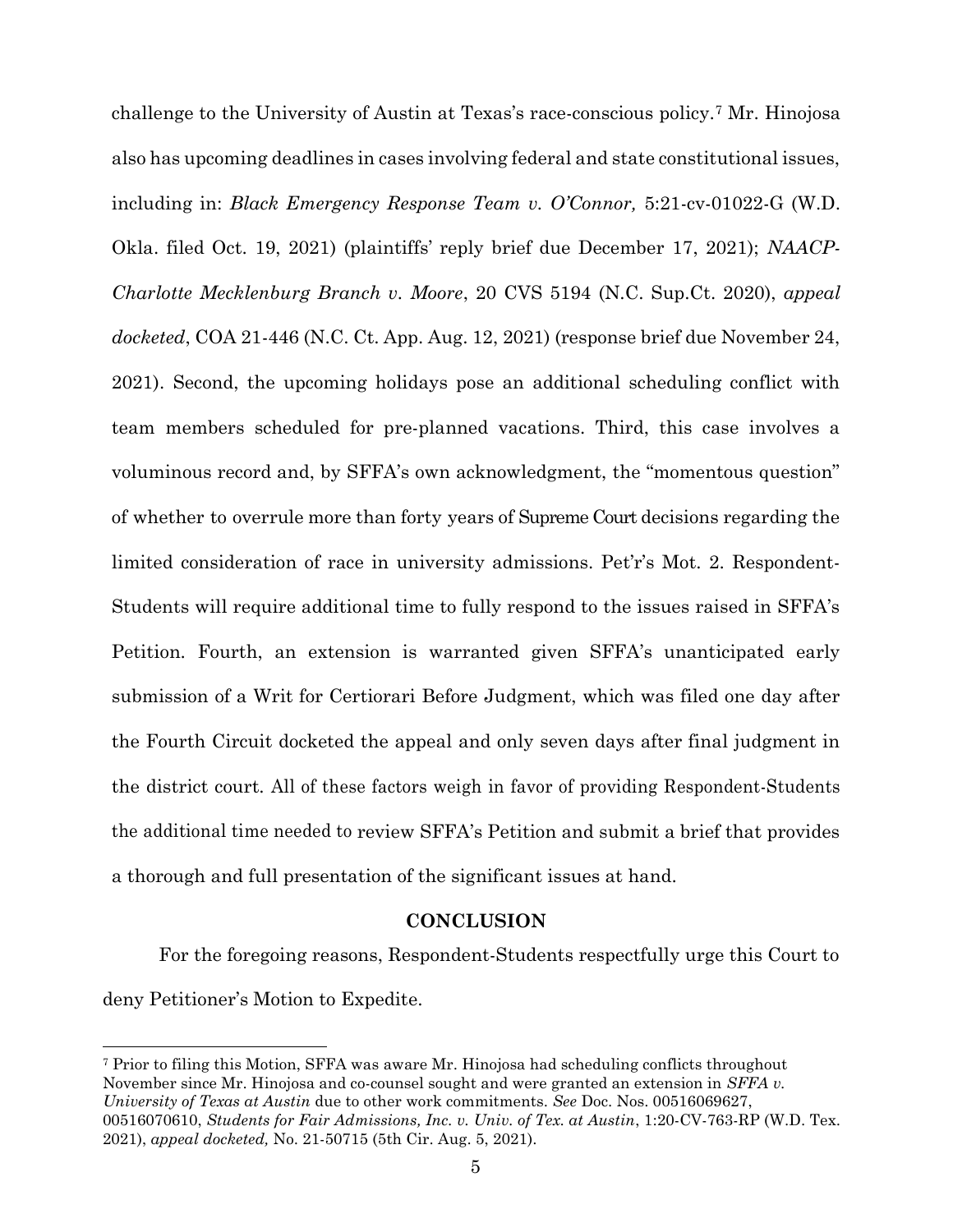challenge to the University of Austin at Texas's race-conscious policy.7 Mr. Hinojosa also has upcoming deadlines in cases involving federal and state constitutional issues, including in: Black Emergency Response Team v. O'Connor, 5:21-cv-01022-G (W.D. Okla. filed Oct. 19, 2021) (plaintiffs' reply brief due December 17, 2021); NAACP-Charlotte Mecklenburg Branch v. Moore, 20 CVS 5194 (N.C. Sup.Ct. 2020), appeal docketed, COA 21-446 (N.C. Ct. App. Aug. 12, 2021) (response brief due November 24, 2021). Second, the upcoming holidays pose an additional scheduling conflict with team members scheduled for pre-planned vacations. Third, this case involves a voluminous record and, by SFFA's own acknowledgment, the "momentous question" of whether to overrule more than forty years of Supreme Court decisions regarding the limited consideration of race in university admissions. Pet'r's Mot. 2. Respondent-Students will require additional time to fully respond to the issues raised in SFFA's Petition. Fourth, an extension is warranted given SFFA's unanticipated early submission of a Writ for Certiorari Before Judgment, which was filed one day after the Fourth Circuit docketed the appeal and only seven days after final judgment in the district court. All of these factors weigh in favor of providing Respondent-Students the additional time needed to review SFFA's Petition and submit a brief that provides a thorough and full presentation of the significant issues at hand.

## **CONCLUSION**

For the foregoing reasons, Respondent-Students respectfully urge this Court to deny Petitioner's Motion to Expedite.

<sup>7</sup> Prior to filing this Motion, SFFA was aware Mr. Hinojosa had scheduling conflicts throughout November since Mr. Hinojosa and co-counsel sought and were granted an extension in *SFFA v*. University of Texas at Austin due to other work commitments. See Doc. Nos. 00516069627, 00516070610, Students for Fair Admissions, Inc. v. Univ. of Tex. at Austin, 1:20-CV-763-RP (W.D. Tex. 2021), appeal docketed, No. 21-50715 (5th Cir. Aug. 5, 2021).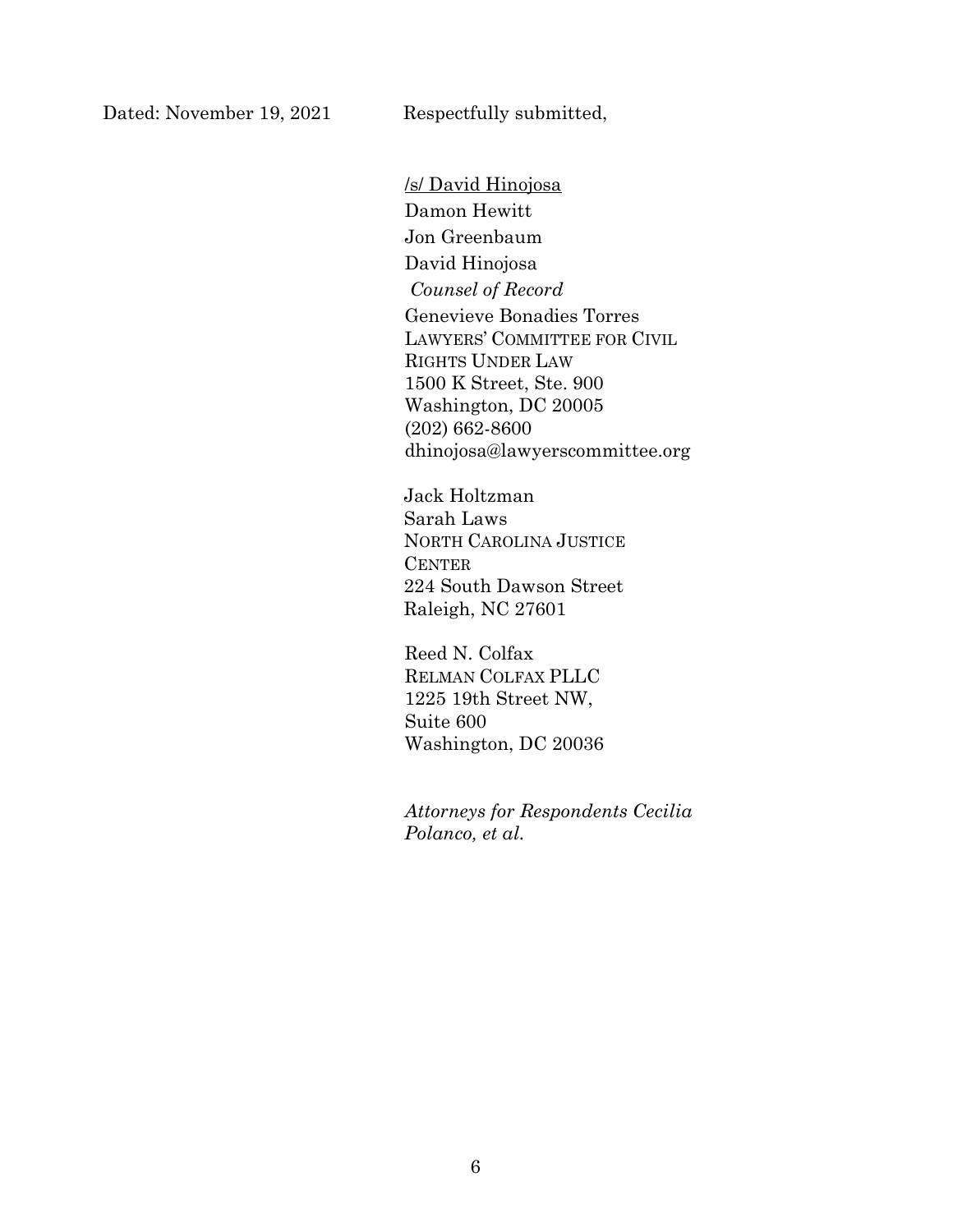/s/ David Hinojosa Damon Hewitt Jon Greenbaum David Hinojosa Counsel of Record Genevieve Bonadies Torres LAWYERS' COMMITTEE FOR CIVIL RIGHTS UNDER LAW 1500 K Street, Ste. 900 Washington, DC 20005 (202) 662-8600 dhinojosa@lawyerscommittee.org

Jack Holtzman Sarah Laws NORTH CAROLINA JUSTICE **CENTER** 224 South Dawson Street Raleigh, NC 27601

Reed N. Colfax RELMAN COLFAX PLLC 1225 19th Street NW, Suite 600 Washington, DC 20036

Attorneys for Respondents Cecilia Polanco, et al.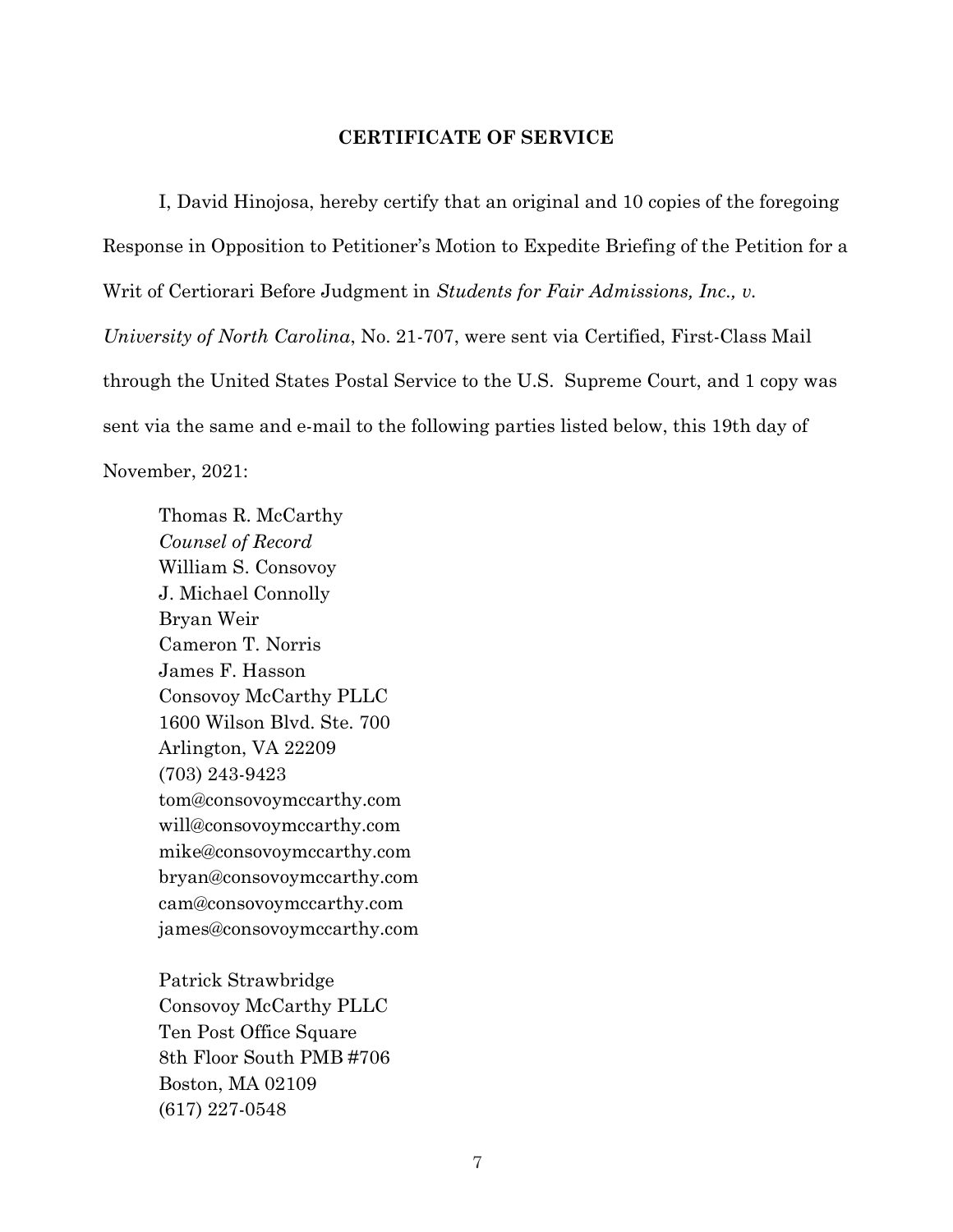## CERTIFICATE OF SERVICE

I, David Hinojosa, hereby certify that an original and 10 copies of the foregoing Response in Opposition to Petitioner's Motion to Expedite Briefing of the Petition for a Writ of Certiorari Before Judgment in Students for Fair Admissions, Inc., v. University of North Carolina, No. 21-707, were sent via Certified, First-Class Mail through the United States Postal Service to the U.S. Supreme Court, and 1 copy was sent via the same and e-mail to the following parties listed below, this 19th day of November, 2021:

Thomas R. McCarthy Counsel of Record William S. Consovoy J. Michael Connolly Bryan Weir Cameron T. Norris James F. Hasson Consovoy McCarthy PLLC 1600 Wilson Blvd. Ste. 700 Arlington, VA 22209 (703) 243-9423 tom@consovoymccarthy.com will@consovoymccarthy.com mike@consovoymccarthy.com bryan@consovoymccarthy.com cam@consovoymccarthy.com james@consovoymccarthy.com

Patrick Strawbridge Consovoy McCarthy PLLC Ten Post Office Square 8th Floor South PMB #706 Boston, MA 02109 (617) 227-0548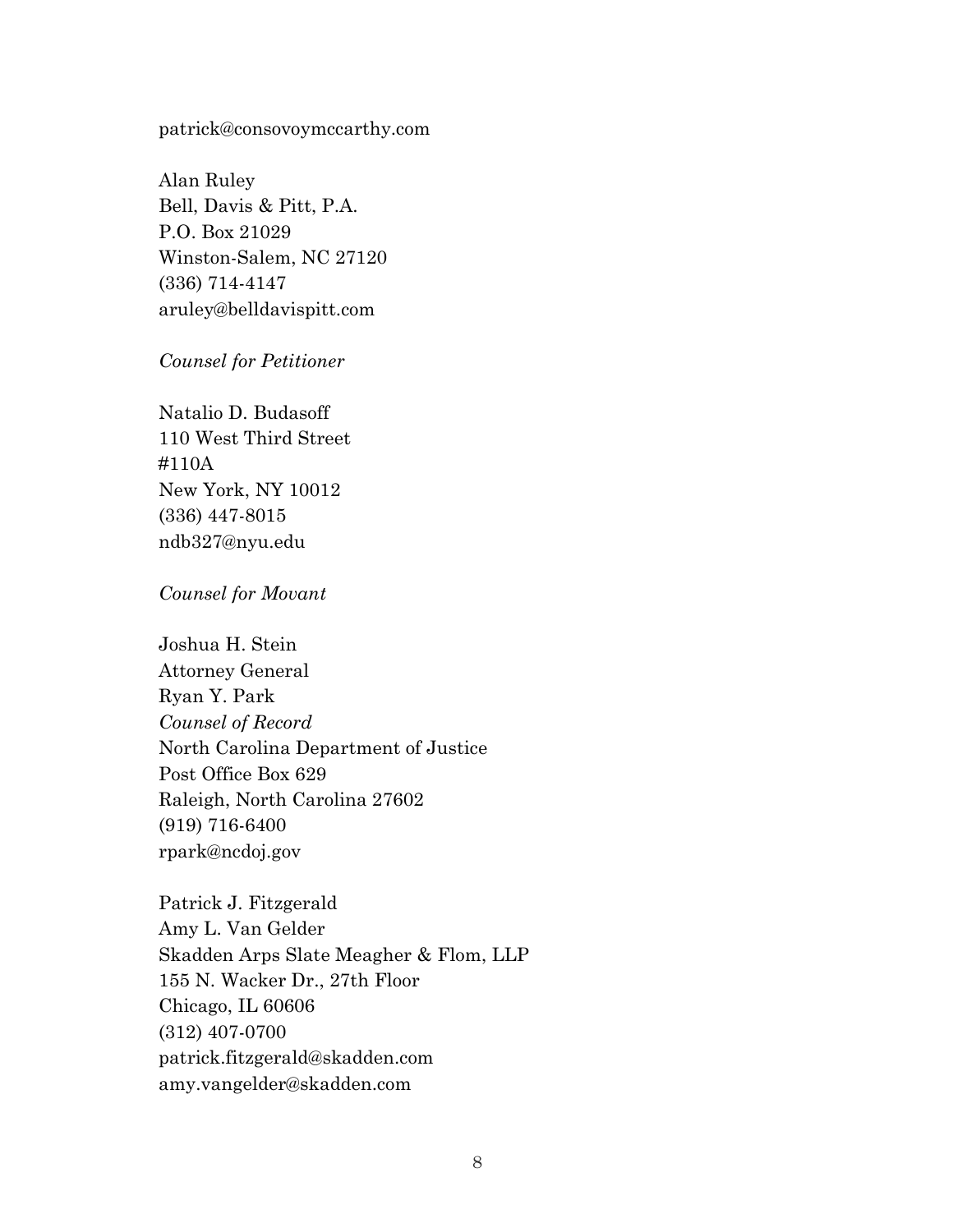## patrick@consovoymccarthy.com

Alan Ruley Bell, Davis & Pitt, P.A. P.O. Box 21029 Winston-Salem, NC 27120 (336) 714-4147 aruley@belldavispitt.com

### Counsel for Petitioner

Natalio D. Budasoff 110 West Third Street #110A New York, NY 10012 (336) 447-8015 ndb327@nyu.edu

## Counsel for Movant

Joshua H. Stein Attorney General Ryan Y. Park Counsel of Record North Carolina Department of Justice Post Office Box 629 Raleigh, North Carolina 27602 (919) 716-6400 rpark@ncdoj.gov

Patrick J. Fitzgerald Amy L. Van Gelder Skadden Arps Slate Meagher & Flom, LLP 155 N. Wacker Dr., 27th Floor Chicago, IL 60606 (312) 407-0700 patrick.fitzgerald@skadden.com amy.vangelder@skadden.com